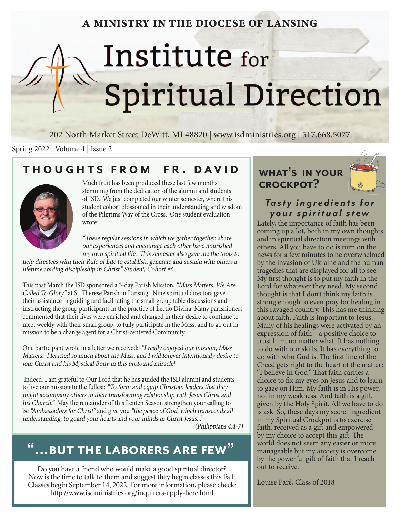### **a ministry in the diocese of lansing**

# Institute for Spiritual Direction

202 North Market Street DeWitt, MI 48820 | www.isdministries.org | 517.668.5077

Spring 2022 | Volume 4 | Issue 2

### **thoughts from fr . david**



Much fruit has been produced these last few months stemming from the dedication of the alumni and students of ISD. We just completed our winter semester, where this student cohort blossomed in their understanding and wisdom of the Pilgrims Way of the Cross. One student evaluation wrote:

"These regular sessions in which we gather together, share our experiences and encourage each other have nourished my own spiritual life. This semester also gave me the tools to

help directees with their Rule of Life to establish, generate and sustain with others a lifetime abiding discipleship in Christ." Student, Cohort #6

This past March the ISD sponsored a 3-day Parish Mission, "Mass Matters: We Are Called To Glory" at St. Therese Parish in Lansing. Nine spiritual directors gave their assistance in guiding and facilitating the small group table discussions and instructing the group participants in the practice of Lectio Divina. Many parishioners commented that their lives were enriched and changed in their desire to continue to meet weekly with their small group, to fully participate in the Mass, and to go out in mission to be a change agent for a Christ-centered Community.

One participant wrote in a letter we received: "I really enjoyed our mission, Mass Matters. I learned so much about the Mass, and I will forever intentionally desire to join Christ and his Mystical Body in this profound miracle!"

 Indeed, I am grateful to Our Lord that he has guided the ISD alumni and students to live our mission to the fullest: "To form and equip Christian leaders that they might accompany others in their transforming relationship with Jesus Christ and his Church." May the remainder of this Lenten Season strengthen your calling to be "Ambassadors for Christ" and give you "the peace of God, which transcends all understanding, to guard your hearts and your minds in Christ Jesus..."

(Philippians 4:4-7)

### **"...but the laborers are few"**

Do you have a friend who would make a good spiritual director? Now is the time to talk to them and suggest they begin classes this Fall. Classes begin September 14, 2022. For more information, please check: http://www.isdministries.org/inquirers-apply-here.html





### *Ta s t y i n g r e d i e n t s f o r your spiritual stew*

Lately, the importance of faith has been coming up a lot, both in my own thoughts and in spiritual direction meetings with others. All you have to do is turn on the news for a few minutes to be overwhelmed by the invasion of Ukraine and the human tragedies that are displayed for all to see. My first thought is to put my faith in the Lord for whatever they need. My second thought is that I don't think my faith is strong enough to even pray for healing in this ravaged country. This has me thinking about faith. Faith is important to Jesus. Many of his healings were activated by an expression of faith—a positive choice to trust him, no matter what. It has nothing to do with our skills. It has everything to do with who God is. The first line of the Creed gets right to the heart of the matter: "I believe in God," That faith carries a choice to fix my eyes on Jesus and to learn to gaze on Him. My faith is in His power, not in my weakness. And faith is a gift, given by the Holy Spirit. All we have to do is ask. So, these days my secret ingredient in my Spiritual Crockpot is to exercise faith, received as a gift and empowered by my choice to accept this gift. The world does not seem any easier or more manageable but my anxiety is overcome by the powerful gift of faith that I reach out to receive.

Louise Paré, Class of 2018